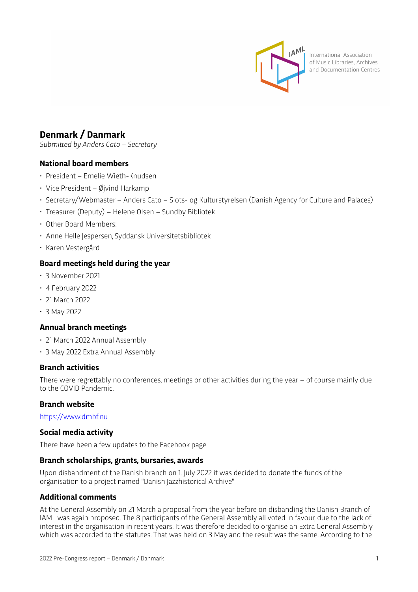

International Association of Music Libraries, Archives and Documentation Centres

# **Denmark / Danmark**

*Submitted by Anders Cato – Secretary*

## **National board members**

- President Emelie Wieth-Knudsen
- Vice President Øjvind Harkamp
- Secretary/Webmaster Anders Cato Slots- og Kulturstyrelsen (Danish Agency for Culture and Palaces)
- Treasurer (Deputy) Helene Olsen Sundby Bibliotek
- Other Board Members:
- Anne Helle Jespersen, Syddansk Universitetsbibliotek
- Karen Vestergård

## **Board meetings held during the year**

- 3 November 2021
- 4 February 2022
- 21 March 2022
- 3 May 2022

## **Annual branch meetings**

- 21 March 2022 Annual Assembly
- 3 May 2022 Extra Annual Assembly

#### **Branch activities**

There were regrettably no conferences, meetings or other activities during the year – of course mainly due to the COVID Pandemic.

### **Branch website**

htt[ps://www.dmbf.nu](https://www.dmbf.nu)

#### **Social media activity**

There have been a few updates to the Facebook page

#### **Branch scholarships, grants, bursaries, awards**

Upon disbandment of the Danish branch on 1. July 2022 it was decided to donate the funds of the organisation to a project named "Danish Jazzhistorical Archive"

## **Additional comments**

At the General Assembly on 21 March a proposal from the year before on disbanding the Danish Branch of IAML was again proposed. The 8 participants of the General Assembly all voted in favour, due to the lack of interest in the organisation in recent years. It was therefore decided to organise an Extra General Assembly which was accorded to the statutes. That was held on 3 May and the result was the same. According to the